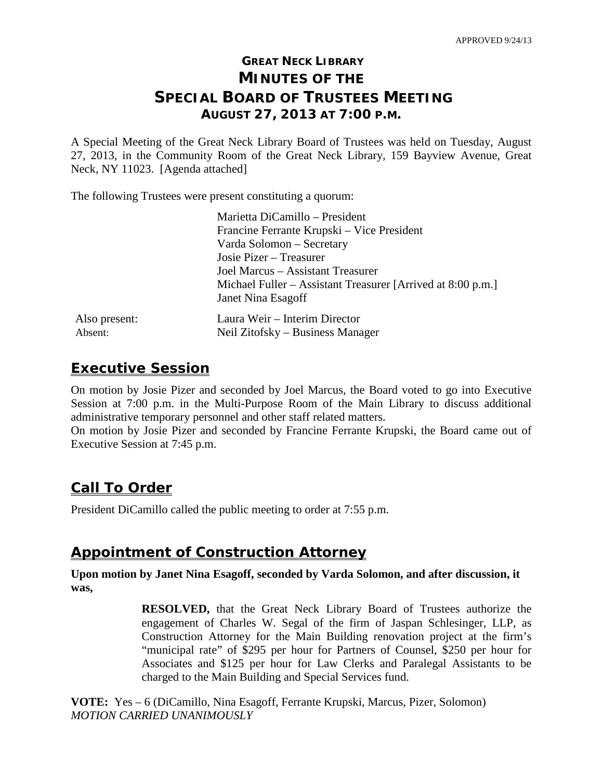# **GREAT NECK LIBRARY MINUTES OF THE SPECIAL BOARD OF TRUSTEES MEETING AUGUST 27, 2013 AT 7:00 P.M.**

A Special Meeting of the Great Neck Library Board of Trustees was held on Tuesday, August 27, 2013, in the Community Room of the Great Neck Library, 159 Bayview Avenue, Great Neck, NY 11023. [Agenda attached]

The following Trustees were present constituting a quorum:

|               | Marietta DiCamillo - President                              |
|---------------|-------------------------------------------------------------|
|               | Francine Ferrante Krupski – Vice President                  |
|               | Varda Solomon - Secretary                                   |
|               | Josie Pizer – Treasurer                                     |
|               | Joel Marcus – Assistant Treasurer                           |
|               | Michael Fuller – Assistant Treasurer [Arrived at 8:00 p.m.] |
|               | Janet Nina Esagoff                                          |
| Also present: | Laura Weir - Interim Director                               |
| Absent:       | Neil Zitofsky – Business Manager                            |

## **Executive Session**

On motion by Josie Pizer and seconded by Joel Marcus, the Board voted to go into Executive Session at 7:00 p.m. in the Multi-Purpose Room of the Main Library to discuss additional administrative temporary personnel and other staff related matters.

On motion by Josie Pizer and seconded by Francine Ferrante Krupski, the Board came out of Executive Session at 7:45 p.m.

# **Call To Order**

President DiCamillo called the public meeting to order at 7:55 p.m.

### **Appointment of Construction Attorney**

**Upon motion by Janet Nina Esagoff, seconded by Varda Solomon, and after discussion, it was,**

> **RESOLVED,** that the Great Neck Library Board of Trustees authorize the engagement of Charles W. Segal of the firm of Jaspan Schlesinger, LLP, as Construction Attorney for the Main Building renovation project at the firm's "municipal rate" of \$295 per hour for Partners of Counsel, \$250 per hour for Associates and \$125 per hour for Law Clerks and Paralegal Assistants to be charged to the Main Building and Special Services fund.

**VOTE:** Yes – 6 (DiCamillo, Nina Esagoff, Ferrante Krupski, Marcus, Pizer, Solomon) *MOTION CARRIED UNANIMOUSLY*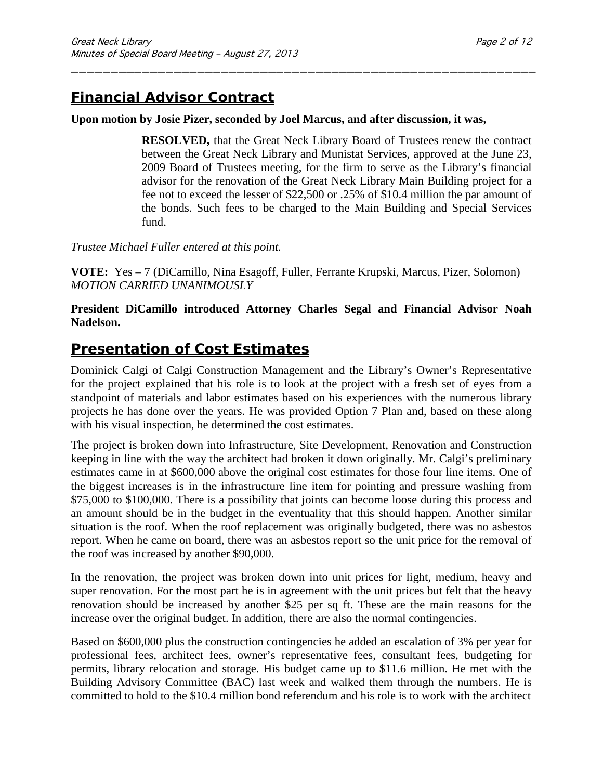# **Financial Advisor Contract**

#### **Upon motion by Josie Pizer, seconded by Joel Marcus, and after discussion, it was,**

\_\_\_\_\_\_\_\_\_\_\_\_\_\_\_\_\_\_\_\_\_\_\_\_\_\_\_\_\_\_\_\_\_\_\_\_\_\_\_\_\_\_\_\_\_\_\_\_\_\_\_\_\_\_\_\_\_\_\_

**RESOLVED,** that the Great Neck Library Board of Trustees renew the contract between the Great Neck Library and Munistat Services, approved at the June 23, 2009 Board of Trustees meeting, for the firm to serve as the Library's financial advisor for the renovation of the Great Neck Library Main Building project for a fee not to exceed the lesser of \$22,500 or .25% of \$10.4 million the par amount of the bonds. Such fees to be charged to the Main Building and Special Services fund.

#### *Trustee Michael Fuller entered at this point.*

**VOTE:** Yes – 7 (DiCamillo, Nina Esagoff, Fuller, Ferrante Krupski, Marcus, Pizer, Solomon) *MOTION CARRIED UNANIMOUSLY* 

#### **President DiCamillo introduced Attorney Charles Segal and Financial Advisor Noah Nadelson.**

### **Presentation of Cost Estimates**

Dominick Calgi of Calgi Construction Management and the Library's Owner's Representative for the project explained that his role is to look at the project with a fresh set of eyes from a standpoint of materials and labor estimates based on his experiences with the numerous library projects he has done over the years. He was provided Option 7 Plan and, based on these along with his visual inspection, he determined the cost estimates.

The project is broken down into Infrastructure, Site Development, Renovation and Construction keeping in line with the way the architect had broken it down originally. Mr. Calgi's preliminary estimates came in at \$600,000 above the original cost estimates for those four line items. One of the biggest increases is in the infrastructure line item for pointing and pressure washing from \$75,000 to \$100,000. There is a possibility that joints can become loose during this process and an amount should be in the budget in the eventuality that this should happen. Another similar situation is the roof. When the roof replacement was originally budgeted, there was no asbestos report. When he came on board, there was an asbestos report so the unit price for the removal of the roof was increased by another \$90,000.

In the renovation, the project was broken down into unit prices for light, medium, heavy and super renovation. For the most part he is in agreement with the unit prices but felt that the heavy renovation should be increased by another \$25 per sq ft. These are the main reasons for the increase over the original budget. In addition, there are also the normal contingencies.

Based on \$600,000 plus the construction contingencies he added an escalation of 3% per year for professional fees, architect fees, owner's representative fees, consultant fees, budgeting for permits, library relocation and storage. His budget came up to \$11.6 million. He met with the Building Advisory Committee (BAC) last week and walked them through the numbers. He is committed to hold to the \$10.4 million bond referendum and his role is to work with the architect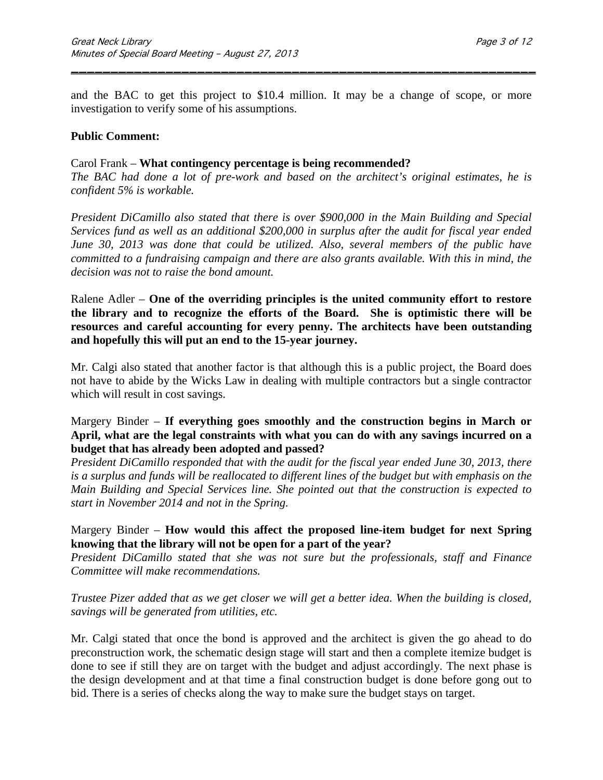and the BAC to get this project to \$10.4 million. It may be a change of scope, or more investigation to verify some of his assumptions.

\_\_\_\_\_\_\_\_\_\_\_\_\_\_\_\_\_\_\_\_\_\_\_\_\_\_\_\_\_\_\_\_\_\_\_\_\_\_\_\_\_\_\_\_\_\_\_\_\_\_\_\_\_\_\_\_\_\_\_

#### **Public Comment:**

#### Carol Frank – **What contingency percentage is being recommended?**

*The BAC had done a lot of pre-work and based on the architect's original estimates, he is confident 5% is workable.* 

*President DiCamillo also stated that there is over \$900,000 in the Main Building and Special Services fund as well as an additional \$200,000 in surplus after the audit for fiscal year ended June 30, 2013 was done that could be utilized. Also, several members of the public have committed to a fundraising campaign and there are also grants available. With this in mind, the decision was not to raise the bond amount.*

Ralene Adler – **One of the overriding principles is the united community effort to restore the library and to recognize the efforts of the Board. She is optimistic there will be resources and careful accounting for every penny. The architects have been outstanding and hopefully this will put an end to the 15-year journey.**

Mr. Calgi also stated that another factor is that although this is a public project, the Board does not have to abide by the Wicks Law in dealing with multiple contractors but a single contractor which will result in cost savings.

#### Margery Binder – **If everything goes smoothly and the construction begins in March or April, what are the legal constraints with what you can do with any savings incurred on a budget that has already been adopted and passed?**

*President DiCamillo responded that with the audit for the fiscal year ended June 30, 2013, there is a surplus and funds will be reallocated to different lines of the budget but with emphasis on the Main Building and Special Services line. She pointed out that the construction is expected to start in November 2014 and not in the Spring.*

#### Margery Binder – **How would this affect the proposed line-item budget for next Spring knowing that the library will not be open for a part of the year?**

*President DiCamillo stated that she was not sure but the professionals, staff and Finance Committee will make recommendations.*

*Trustee Pizer added that as we get closer we will get a better idea. When the building is closed, savings will be generated from utilities, etc.*

Mr. Calgi stated that once the bond is approved and the architect is given the go ahead to do preconstruction work, the schematic design stage will start and then a complete itemize budget is done to see if still they are on target with the budget and adjust accordingly. The next phase is the design development and at that time a final construction budget is done before gong out to bid. There is a series of checks along the way to make sure the budget stays on target.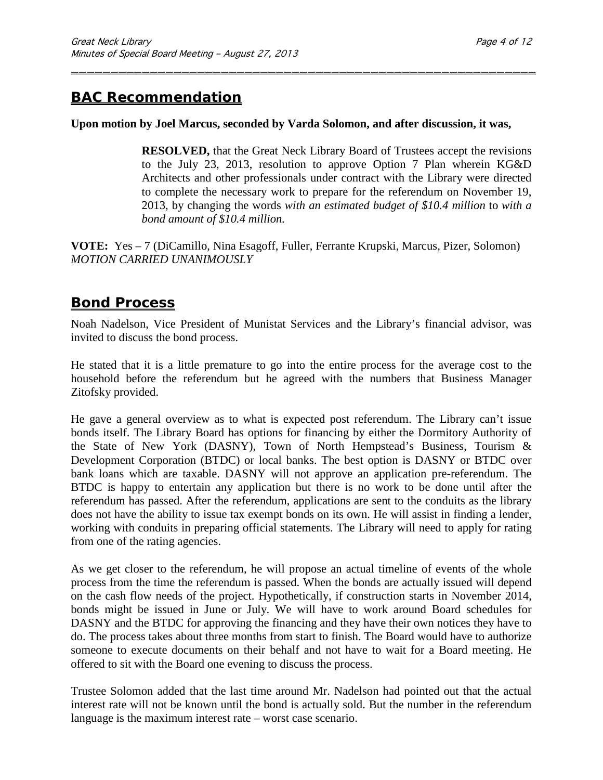# **BAC Recommendation**

#### **Upon motion by Joel Marcus, seconded by Varda Solomon, and after discussion, it was,**

\_\_\_\_\_\_\_\_\_\_\_\_\_\_\_\_\_\_\_\_\_\_\_\_\_\_\_\_\_\_\_\_\_\_\_\_\_\_\_\_\_\_\_\_\_\_\_\_\_\_\_\_\_\_\_\_\_\_\_

**RESOLVED,** that the Great Neck Library Board of Trustees accept the revisions to the July 23, 2013, resolution to approve Option 7 Plan wherein KG&D Architects and other professionals under contract with the Library were directed to complete the necessary work to prepare for the referendum on November 19, 2013, by changing the words *with an estimated budget of \$10.4 million* to *with a bond amount of \$10.4 million.*

**VOTE:** Yes – 7 (DiCamillo, Nina Esagoff, Fuller, Ferrante Krupski, Marcus, Pizer, Solomon) *MOTION CARRIED UNANIMOUSLY* 

### **Bond Process**

Noah Nadelson, Vice President of Munistat Services and the Library's financial advisor, was invited to discuss the bond process.

He stated that it is a little premature to go into the entire process for the average cost to the household before the referendum but he agreed with the numbers that Business Manager Zitofsky provided.

He gave a general overview as to what is expected post referendum. The Library can't issue bonds itself. The Library Board has options for financing by either the Dormitory Authority of the State of New York (DASNY), Town of North Hempstead's Business, Tourism & Development Corporation (BTDC) or local banks. The best option is DASNY or BTDC over bank loans which are taxable. DASNY will not approve an application pre-referendum. The BTDC is happy to entertain any application but there is no work to be done until after the referendum has passed. After the referendum, applications are sent to the conduits as the library does not have the ability to issue tax exempt bonds on its own. He will assist in finding a lender, working with conduits in preparing official statements. The Library will need to apply for rating from one of the rating agencies.

As we get closer to the referendum, he will propose an actual timeline of events of the whole process from the time the referendum is passed. When the bonds are actually issued will depend on the cash flow needs of the project. Hypothetically, if construction starts in November 2014, bonds might be issued in June or July. We will have to work around Board schedules for DASNY and the BTDC for approving the financing and they have their own notices they have to do. The process takes about three months from start to finish. The Board would have to authorize someone to execute documents on their behalf and not have to wait for a Board meeting. He offered to sit with the Board one evening to discuss the process.

Trustee Solomon added that the last time around Mr. Nadelson had pointed out that the actual interest rate will not be known until the bond is actually sold. But the number in the referendum language is the maximum interest rate – worst case scenario.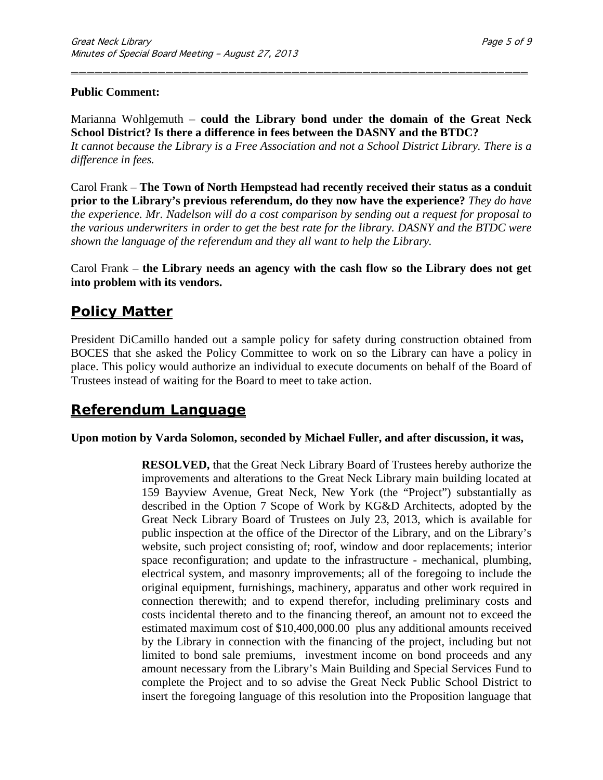#### **Public Comment:**

Marianna Wohlgemuth – **could the Library bond under the domain of the Great Neck School District? Is there a difference in fees between the DASNY and the BTDC?**

\_\_\_\_\_\_\_\_\_\_\_\_\_\_\_\_\_\_\_\_\_\_\_\_\_\_\_\_\_\_\_\_\_\_\_\_\_\_\_\_\_\_\_\_\_\_\_\_\_\_\_\_\_\_\_\_\_\_

*It cannot because the Library is a Free Association and not a School District Library. There is a difference in fees.*

Carol Frank – **The Town of North Hempstead had recently received their status as a conduit prior to the Library's previous referendum, do they now have the experience?** *They do have the experience. Mr. Nadelson will do a cost comparison by sending out a request for proposal to the various underwriters in order to get the best rate for the library. DASNY and the BTDC were shown the language of the referendum and they all want to help the Library.*

Carol Frank – **the Library needs an agency with the cash flow so the Library does not get into problem with its vendors.**

## **Policy Matter**

President DiCamillo handed out a sample policy for safety during construction obtained from BOCES that she asked the Policy Committee to work on so the Library can have a policy in place. This policy would authorize an individual to execute documents on behalf of the Board of Trustees instead of waiting for the Board to meet to take action.

# **Referendum Language**

#### **Upon motion by Varda Solomon, seconded by Michael Fuller, and after discussion, it was,**

**RESOLVED,** that the Great Neck Library Board of Trustees hereby authorize the improvements and alterations to the Great Neck Library main building located at 159 Bayview Avenue, Great Neck, New York (the "Project") substantially as described in the Option 7 Scope of Work by KG&D Architects, adopted by the Great Neck Library Board of Trustees on July 23, 2013, which is available for public inspection at the office of the Director of the Library, and on the Library's website, such project consisting of; roof, window and door replacements; interior space reconfiguration; and update to the infrastructure - mechanical, plumbing, electrical system, and masonry improvements; all of the foregoing to include the original equipment, furnishings, machinery, apparatus and other work required in connection therewith; and to expend therefor, including preliminary costs and costs incidental thereto and to the financing thereof, an amount not to exceed the estimated maximum cost of \$10,400,000.00 plus any additional amounts received by the Library in connection with the financing of the project, including but not limited to bond sale premiums, investment income on bond proceeds and any amount necessary from the Library's Main Building and Special Services Fund to complete the Project and to so advise the Great Neck Public School District to insert the foregoing language of this resolution into the Proposition language that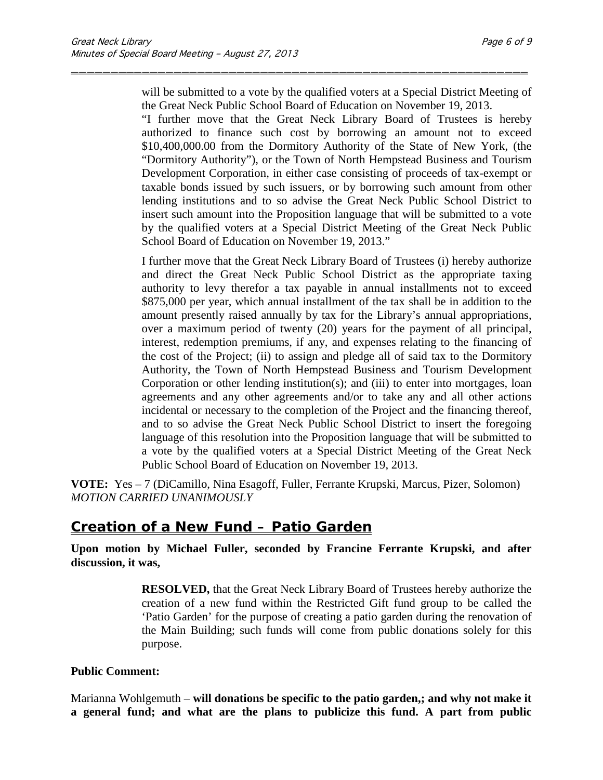will be submitted to a vote by the qualified voters at a Special District Meeting of the Great Neck Public School Board of Education on November 19, 2013.

\_\_\_\_\_\_\_\_\_\_\_\_\_\_\_\_\_\_\_\_\_\_\_\_\_\_\_\_\_\_\_\_\_\_\_\_\_\_\_\_\_\_\_\_\_\_\_\_\_\_\_\_\_\_\_\_\_\_

"I further move that the Great Neck Library Board of Trustees is hereby authorized to finance such cost by borrowing an amount not to exceed \$10,400,000.00 from the Dormitory Authority of the State of New York, (the "Dormitory Authority"), or the Town of North Hempstead Business and Tourism Development Corporation, in either case consisting of proceeds of tax-exempt or taxable bonds issued by such issuers, or by borrowing such amount from other lending institutions and to so advise the Great Neck Public School District to insert such amount into the Proposition language that will be submitted to a vote by the qualified voters at a Special District Meeting of the Great Neck Public School Board of Education on November 19, 2013."

I further move that the Great Neck Library Board of Trustees (i) hereby authorize and direct the Great Neck Public School District as the appropriate taxing authority to levy therefor a tax payable in annual installments not to exceed \$875,000 per year, which annual installment of the tax shall be in addition to the amount presently raised annually by tax for the Library's annual appropriations, over a maximum period of twenty (20) years for the payment of all principal, interest, redemption premiums, if any, and expenses relating to the financing of the cost of the Project; (ii) to assign and pledge all of said tax to the Dormitory Authority, the Town of North Hempstead Business and Tourism Development Corporation or other lending institution(s); and (iii) to enter into mortgages, loan agreements and any other agreements and/or to take any and all other actions incidental or necessary to the completion of the Project and the financing thereof, and to so advise the Great Neck Public School District to insert the foregoing language of this resolution into the Proposition language that will be submitted to a vote by the qualified voters at a Special District Meeting of the Great Neck Public School Board of Education on November 19, 2013.

**VOTE:** Yes – 7 (DiCamillo, Nina Esagoff, Fuller, Ferrante Krupski, Marcus, Pizer, Solomon) *MOTION CARRIED UNANIMOUSLY* 

### **Creation of a New Fund – Patio Garden**

**Upon motion by Michael Fuller, seconded by Francine Ferrante Krupski, and after discussion, it was,**

> **RESOLVED,** that the Great Neck Library Board of Trustees hereby authorize the creation of a new fund within the Restricted Gift fund group to be called the 'Patio Garden' for the purpose of creating a patio garden during the renovation of the Main Building; such funds will come from public donations solely for this purpose.

#### **Public Comment:**

Marianna Wohlgemuth – **will donations be specific to the patio garden,; and why not make it a general fund; and what are the plans to publicize this fund. A part from public**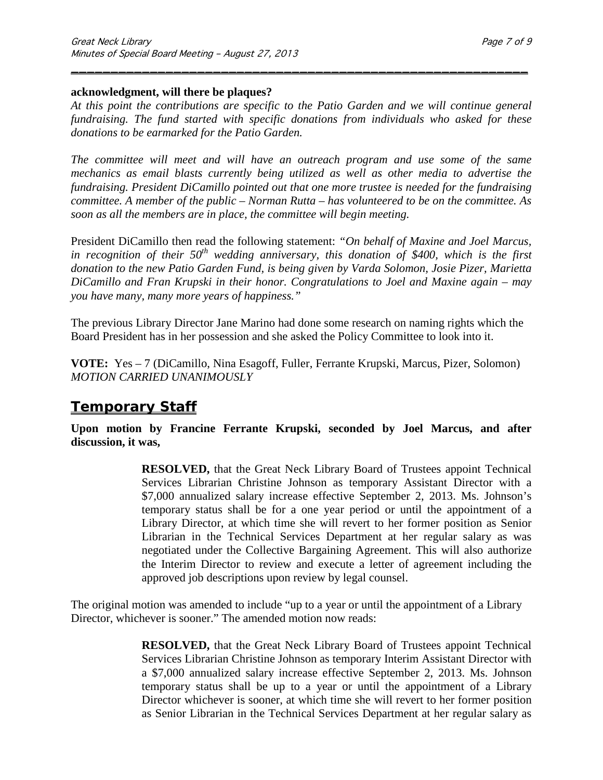#### **acknowledgment, will there be plaques?**

*At this point the contributions are specific to the Patio Garden and we will continue general fundraising. The fund started with specific donations from individuals who asked for these donations to be earmarked for the Patio Garden.*

\_\_\_\_\_\_\_\_\_\_\_\_\_\_\_\_\_\_\_\_\_\_\_\_\_\_\_\_\_\_\_\_\_\_\_\_\_\_\_\_\_\_\_\_\_\_\_\_\_\_\_\_\_\_\_\_\_\_

*The committee will meet and will have an outreach program and use some of the same mechanics as email blasts currently being utilized as well as other media to advertise the fundraising. President DiCamillo pointed out that one more trustee is needed for the fundraising committee. A member of the public – Norman Rutta – has volunteered to be on the committee. As soon as all the members are in place, the committee will begin meeting.*

President DiCamillo then read the following statement: *"On behalf of Maxine and Joel Marcus,*  in recognition of their 50<sup>th</sup> wedding anniversary, this donation of \$400, which is the first *donation to the new Patio Garden Fund, is being given by Varda Solomon, Josie Pizer, Marietta DiCamillo and Fran Krupski in their honor. Congratulations to Joel and Maxine again – may you have many, many more years of happiness."*

The previous Library Director Jane Marino had done some research on naming rights which the Board President has in her possession and she asked the Policy Committee to look into it.

**VOTE:** Yes – 7 (DiCamillo, Nina Esagoff, Fuller, Ferrante Krupski, Marcus, Pizer, Solomon) *MOTION CARRIED UNANIMOUSLY* 

# **Temporary Staff**

**Upon motion by Francine Ferrante Krupski, seconded by Joel Marcus, and after discussion, it was,**

> **RESOLVED,** that the Great Neck Library Board of Trustees appoint Technical Services Librarian Christine Johnson as temporary Assistant Director with a \$7,000 annualized salary increase effective September 2, 2013. Ms. Johnson's temporary status shall be for a one year period or until the appointment of a Library Director, at which time she will revert to her former position as Senior Librarian in the Technical Services Department at her regular salary as was negotiated under the Collective Bargaining Agreement. This will also authorize the Interim Director to review and execute a letter of agreement including the approved job descriptions upon review by legal counsel.

The original motion was amended to include "up to a year or until the appointment of a Library Director, whichever is sooner." The amended motion now reads:

> **RESOLVED,** that the Great Neck Library Board of Trustees appoint Technical Services Librarian Christine Johnson as temporary Interim Assistant Director with a \$7,000 annualized salary increase effective September 2, 2013. Ms. Johnson temporary status shall be up to a year or until the appointment of a Library Director whichever is sooner, at which time she will revert to her former position as Senior Librarian in the Technical Services Department at her regular salary as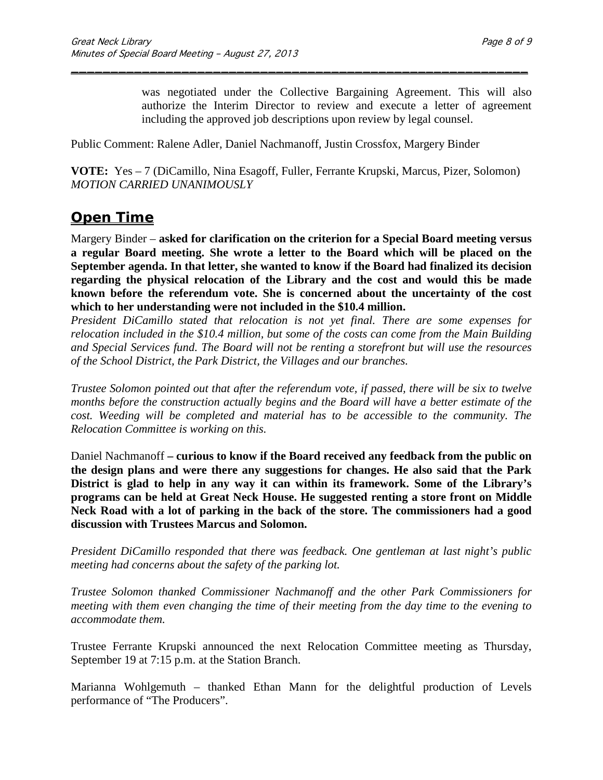was negotiated under the Collective Bargaining Agreement. This will also authorize the Interim Director to review and execute a letter of agreement including the approved job descriptions upon review by legal counsel.

Public Comment: Ralene Adler, Daniel Nachmanoff, Justin Crossfox, Margery Binder

**VOTE:** Yes – 7 (DiCamillo, Nina Esagoff, Fuller, Ferrante Krupski, Marcus, Pizer, Solomon) *MOTION CARRIED UNANIMOUSLY* 

\_\_\_\_\_\_\_\_\_\_\_\_\_\_\_\_\_\_\_\_\_\_\_\_\_\_\_\_\_\_\_\_\_\_\_\_\_\_\_\_\_\_\_\_\_\_\_\_\_\_\_\_\_\_\_\_\_\_

### **Open Time**

Margery Binder – **asked for clarification on the criterion for a Special Board meeting versus a regular Board meeting. She wrote a letter to the Board which will be placed on the September agenda. In that letter, she wanted to know if the Board had finalized its decision regarding the physical relocation of the Library and the cost and would this be made known before the referendum vote. She is concerned about the uncertainty of the cost which to her understanding were not included in the \$10.4 million.**

*President DiCamillo stated that relocation is not yet final. There are some expenses for relocation included in the \$10.4 million, but some of the costs can come from the Main Building and Special Services fund. The Board will not be renting a storefront but will use the resources of the School District, the Park District, the Villages and our branches.*

*Trustee Solomon pointed out that after the referendum vote, if passed, there will be six to twelve months before the construction actually begins and the Board will have a better estimate of the cost. Weeding will be completed and material has to be accessible to the community. The Relocation Committee is working on this.*

Daniel Nachmanoff **– curious to know if the Board received any feedback from the public on the design plans and were there any suggestions for changes. He also said that the Park District is glad to help in any way it can within its framework. Some of the Library's programs can be held at Great Neck House. He suggested renting a store front on Middle Neck Road with a lot of parking in the back of the store. The commissioners had a good discussion with Trustees Marcus and Solomon.**

*President DiCamillo responded that there was feedback. One gentleman at last night's public meeting had concerns about the safety of the parking lot.*

*Trustee Solomon thanked Commissioner Nachmanoff and the other Park Commissioners for meeting with them even changing the time of their meeting from the day time to the evening to accommodate them.*

Trustee Ferrante Krupski announced the next Relocation Committee meeting as Thursday, September 19 at 7:15 p.m. at the Station Branch.

Marianna Wohlgemuth – thanked Ethan Mann for the delightful production of Levels performance of "The Producers".